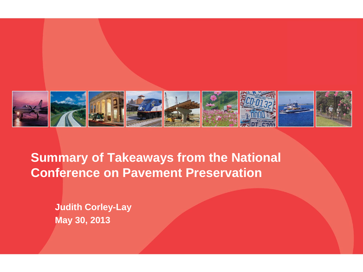

**Summary of Takeaways from the National Conference on Pavement Preservation**

**Judith Corley-Lay May 30, 2013**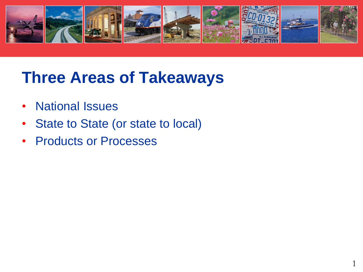

### **Three Areas of Takeaways**

- National Issues
- State to State (or state to local)
- Products or Processes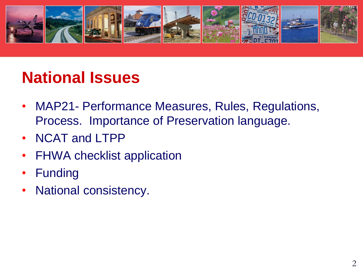

## **National Issues**

- MAP21- Performance Measures, Rules, Regulations, Process. Importance of Preservation language.
- NCAT and LTPP
- FHWA checklist application
- Funding
- National consistency.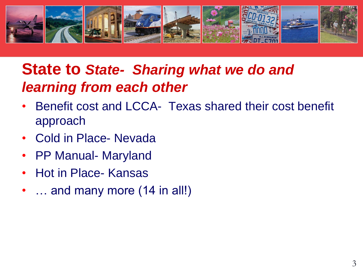

#### **State to State- Sharing what we do and** *learning from each other*

- Benefit cost and LCCA- Texas shared their cost benefit approach
- Cold in Place- Nevada
- PP Manual- Maryland
- Hot in Place- Kansas
- … and many more (14 in all!)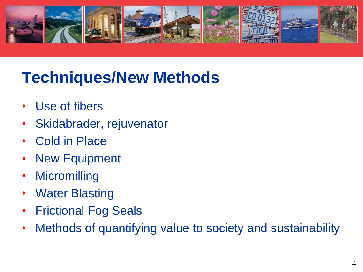

# **Techniques/New Methods**

- Use of fibers
- Skidabrader, rejuvenator
- Cold in Place
- New Equipment
- **Micromilling**
- Water Blasting
- Frictional Fog Seals
- Methods of quantifying value to society and sustainability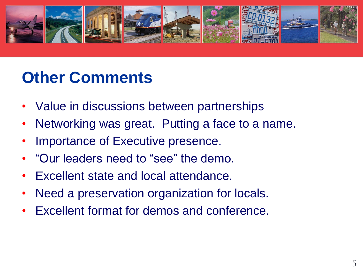

# **Other Comments**

- Value in discussions between partnerships
- Networking was great. Putting a face to a name.
- Importance of Executive presence.
- "Our leaders need to "see" the demo.
- Excellent state and local attendance.
- Need a preservation organization for locals.
- Excellent format for demos and conference.